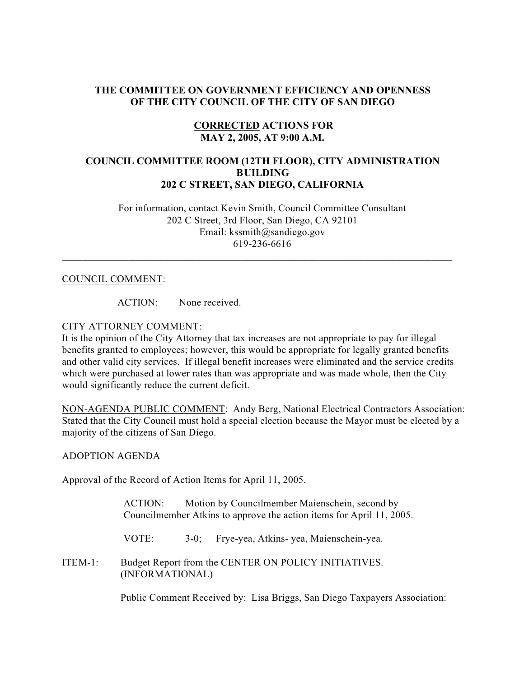## **THE COMMITTEE ON GOVERNMENT EFFICIENCY AND OPENNESS OF THE CITY COUNCIL OF THE CITY OF SAN DIEGO**

## **CORRECTED ACTIONS FOR MAY 2, 2005, AT 9:00 A.M.**

## **COUNCIL COMMITTEE ROOM (12TH FLOOR), CITY ADMINISTRATION BUILDING 202 C STREET, SAN DIEGO, CALIFORNIA**

 For information, contact Kevin Smith, Council Committee Consultant 202 C Street, 3rd Floor, San Diego, CA 92101 Email: kssmith@sandiego.gov 619-236-6616

 $\_$  , and the set of the set of the set of the set of the set of the set of the set of the set of the set of the set of the set of the set of the set of the set of the set of the set of the set of the set of the set of th

#### COUNCIL COMMENT:

ACTION: None received.

## CITY ATTORNEY COMMENT:

It is the opinion of the City Attorney that tax increases are not appropriate to pay for illegal benefits granted to employees; however, this would be appropriate for legally granted benefits and other valid city services. If illegal benefit increases were eliminated and the service credits which were purchased at lower rates than was appropriate and was made whole, then the City would significantly reduce the current deficit.

NON-AGENDA PUBLIC COMMENT: Andy Berg, National Electrical Contractors Association: Stated that the City Council must hold a special election because the Mayor must be elected by a majority of the citizens of San Diego.

#### ADOPTION AGENDA

Approval of the Record of Action Items for April 11, 2005.

ACTION: Motion by Councilmember Maienschein, second by Councilmember Atkins to approve the action items for April 11, 2005.

VOTE: 3-0; Frye-yea, Atkins- yea, Maienschein-yea.

ITEM-1: Budget Report from the CENTER ON POLICY INITIATIVES. (INFORMATIONAL)

Public Comment Received by: Lisa Briggs, San Diego Taxpayers Association: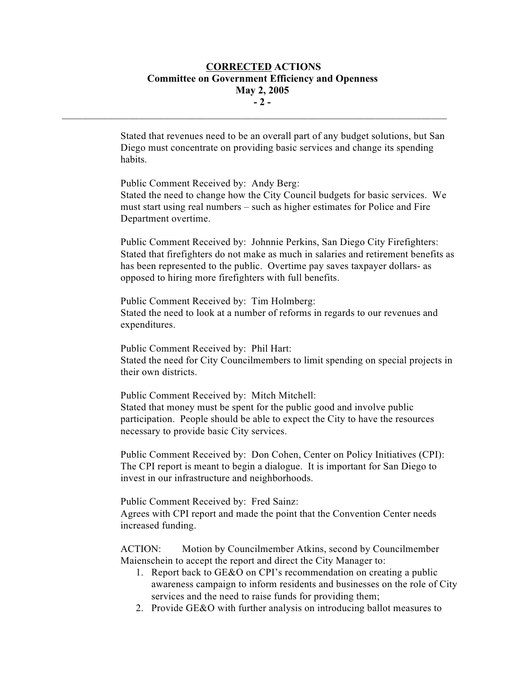## **CORRECTED ACTIONS Committee on Government Efficiency and Openness May 2, 2005 - 2 -**

 $\mathcal{L}_\text{max}$ 

Stated that revenues need to be an overall part of any budget solutions, but San Diego must concentrate on providing basic services and change its spending habits.

Public Comment Received by: Andy Berg: Stated the need to change how the City Council budgets for basic services. We must start using real numbers – such as higher estimates for Police and Fire Department overtime.

Public Comment Received by: Johnnie Perkins, San Diego City Firefighters: Stated that firefighters do not make as much in salaries and retirement benefits as has been represented to the public. Overtime pay saves taxpayer dollars- as opposed to hiring more firefighters with full benefits.

Public Comment Received by: Tim Holmberg: Stated the need to look at a number of reforms in regards to our revenues and expenditures.

Public Comment Received by: Phil Hart: Stated the need for City Councilmembers to limit spending on special projects in their own districts.

Public Comment Received by: Mitch Mitchell: Stated that money must be spent for the public good and involve public participation. People should be able to expect the City to have the resources necessary to provide basic City services.

Public Comment Received by: Don Cohen, Center on Policy Initiatives (CPI): The CPI report is meant to begin a dialogue. It is important for San Diego to invest in our infrastructure and neighborhoods.

Public Comment Received by: Fred Sainz:

Agrees with CPI report and made the point that the Convention Center needs increased funding.

ACTION: Motion by Councilmember Atkins, second by Councilmember Maienschein to accept the report and direct the City Manager to:

- 1. Report back to GE&O on CPI's recommendation on creating a public awareness campaign to inform residents and businesses on the role of City services and the need to raise funds for providing them;
- 2. Provide GE&O with further analysis on introducing ballot measures to